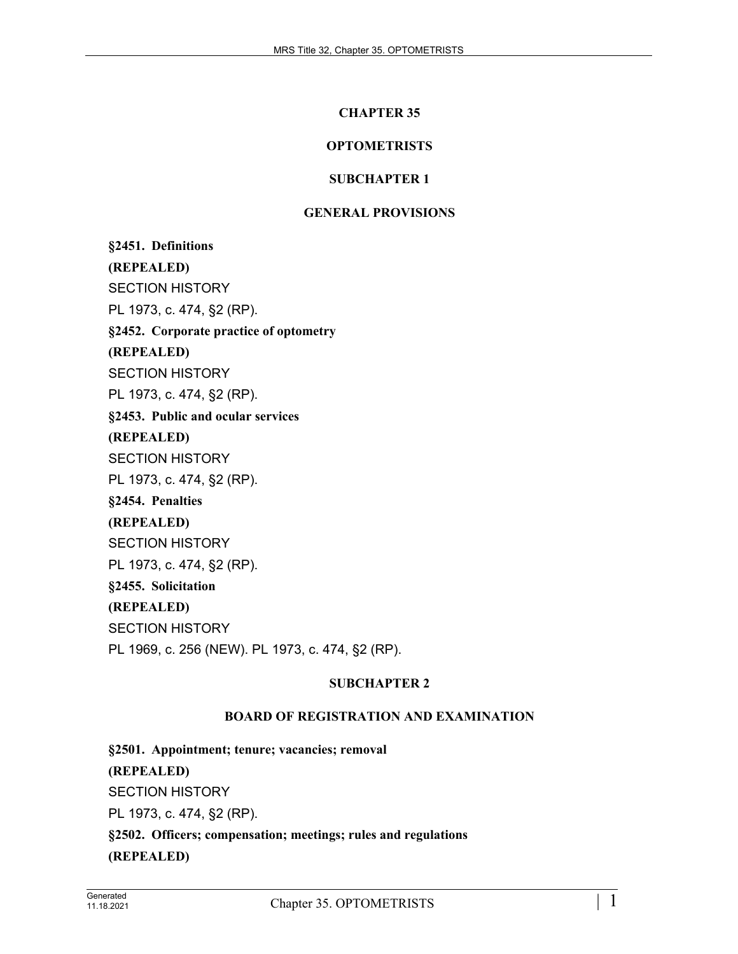### **CHAPTER 35**

# **OPTOMETRISTS**

## **SUBCHAPTER 1**

### **GENERAL PROVISIONS**

**§2451. Definitions (REPEALED)** SECTION HISTORY PL 1973, c. 474, §2 (RP). **§2452. Corporate practice of optometry (REPEALED)** SECTION HISTORY PL 1973, c. 474, §2 (RP). **§2453. Public and ocular services (REPEALED)** SECTION HISTORY PL 1973, c. 474, §2 (RP). **§2454. Penalties (REPEALED)** SECTION HISTORY PL 1973, c. 474, §2 (RP). **§2455. Solicitation (REPEALED)** SECTION HISTORY PL 1969, c. 256 (NEW). PL 1973, c. 474, §2 (RP).

### **SUBCHAPTER 2**

# **BOARD OF REGISTRATION AND EXAMINATION**

**§2501. Appointment; tenure; vacancies; removal (REPEALED)** SECTION HISTORY PL 1973, c. 474, §2 (RP). **§2502. Officers; compensation; meetings; rules and regulations (REPEALED)**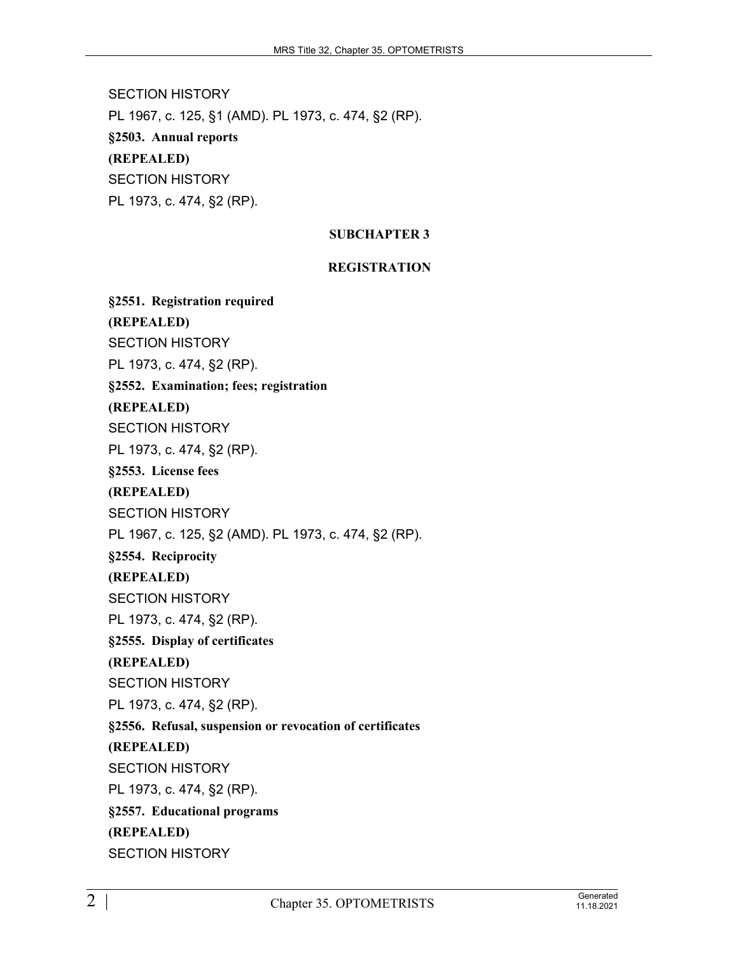SECTION HISTORY PL 1967, c. 125, §1 (AMD). PL 1973, c. 474, §2 (RP). **§2503. Annual reports (REPEALED)** SECTION HISTORY PL 1973, c. 474, §2 (RP).

# **SUBCHAPTER 3**

# **REGISTRATION**

**§2551. Registration required (REPEALED)** SECTION HISTORY PL 1973, c. 474, §2 (RP). **§2552. Examination; fees; registration (REPEALED)** SECTION HISTORY PL 1973, c. 474, §2 (RP). **§2553. License fees (REPEALED)** SECTION HISTORY PL 1967, c. 125, §2 (AMD). PL 1973, c. 474, §2 (RP). **§2554. Reciprocity (REPEALED)** SECTION HISTORY PL 1973, c. 474, §2 (RP). **§2555. Display of certificates (REPEALED)** SECTION HISTORY PL 1973, c. 474, §2 (RP). **§2556. Refusal, suspension or revocation of certificates (REPEALED)** SECTION HISTORY PL 1973, c. 474, §2 (RP). **§2557. Educational programs (REPEALED)** SECTION HISTORY